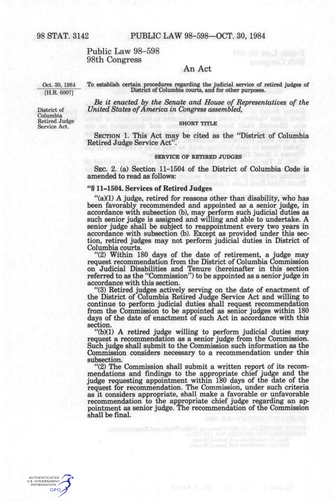## Public Law 98-598 98th Congress

## An Act

Oct. 30, 1984 [H.R. 6007]

District of Columbia Retired Judge Service Act.

**To establish certain procedures regarding the judicial service of retired judges of District of Columbia courts,** *and* **for other purposes.** 

*Be it enacted by the Senate and House of Representatives of the United States of America in Congress assembled,* 

#### **SHORT TITLE**

SECTION 1. This Act may be cited as the "District of Columbia Retired Judge Service Act".

# **SERVICE OF RETIRED JUDGES**

SEC. 2. (a) Section 11-1504 of the District of Columbia Code is amended to read as follows:

### \*'§ 11-1504. Services of Retired Judges

"(a)(1) A judge, retired for reasons other than disability, who has been favorably recommended and appointed as a senior judge, in accordance with subsection (b), may perform such judicial duties as such senior judge is assigned and willing and able to undertake. A senior judge shall be subject to reappointment every two years in accordance with subsection (b). Except as provided under this section, retired judges may not perform judicial duties in District of Columbia courts.

"(2) Within 180 days of the date of retirement, a judge may request recommendation from the District of Columbia Commission on Judicial Disabilities and Tenure (hereinafter in this section referred to as the "Commission") to be appointed as a senior judge in accordance with this section.

"(3) Retired judges actively serving on the date of enactment of the District of Columbia Retired Judge Service Act and willing to continue to perform judicial duties shall request recommendation from the Commission to be appointed as senior judges within 180 days of the date of enactment of such Act in accordance with this section.

 $\mathcal{L}(b)(1)$  A retired judge willing to perform judicial duties may request a recommendation as a senior judge from the Commission. Such judge shall submit to the Commission such information as the Commission considers necessary to a recommendation under this subsection.

"(2) The Commission shall submit a written report of its recommendations and findings to the appropriate chief judge and the judge requesting appointment within 180 days of the date of the request for recommendation. The Commission, under such criteria as it considers appropriate, shall make a favorable or unfavorable recommendation to the appropriate chief judge regarding an appointment as senior judge. The recommendation of the Commission shall be final.

onen an Euble Worke and Transportation